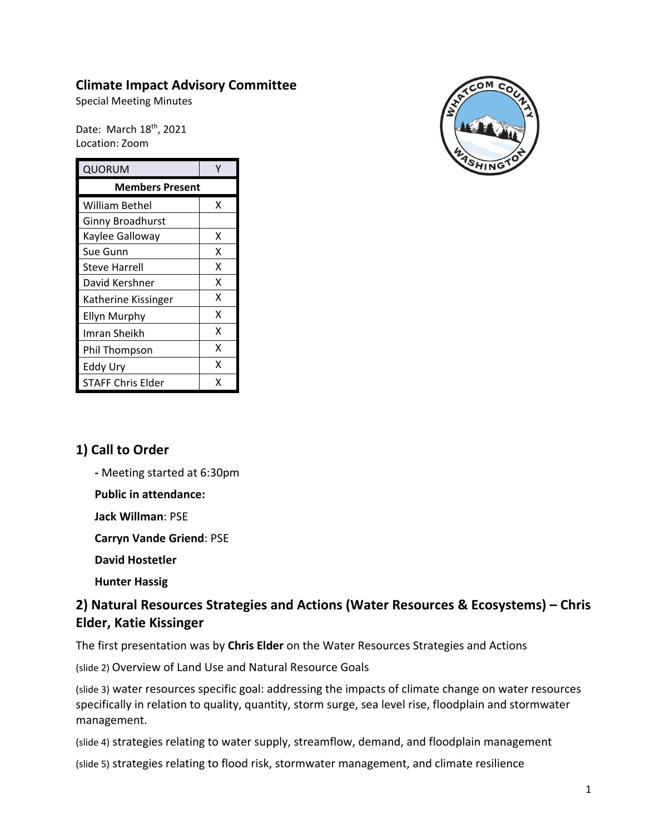## **Climate Impact Advisory Committee**

Special Meeting Minutes

Date: March 18<sup>th</sup>, 2021 Location: Zoom

| QUORUM                  |   |
|-------------------------|---|
| <b>Members Present</b>  |   |
| William Bethel          | x |
| <b>Ginny Broadhurst</b> |   |
| Kaylee Galloway         | x |
| Sue Gunn                | x |
| <b>Steve Harrell</b>    | x |
| David Kershner          | X |
| Katherine Kissinger     | X |
| <b>Ellyn Murphy</b>     | X |
| Imran Sheikh            | x |
| Phil Thompson           | x |
| Eddy Ury                | Χ |
| STAFF Chris Elder       | x |



### **1) Call to Order**

**-** Meeting started at 6:30pm

**Public in attendance:**

**Jack Willman**: PSE

**Carryn Vande Griend**: PSE

**David Hostetler**

**Hunter Hassig**

# **2) Natural Resources Strategies and Actions (Water Resources & Ecosystems) – Chris Elder, Katie Kissinger**

The first presentation was by **Chris Elder** on the Water Resources Strategies and Actions

(slide 2) Overview of Land Use and Natural Resource Goals

(slide 3) water resources specific goal: addressing the impacts of climate change on water resources specifically in relation to quality, quantity, storm surge, sea level rise, floodplain and stormwater management.

(slide 4) strategies relating to water supply, streamflow, demand, and floodplain management

(slide 5) strategies relating to flood risk, stormwater management, and climate resilience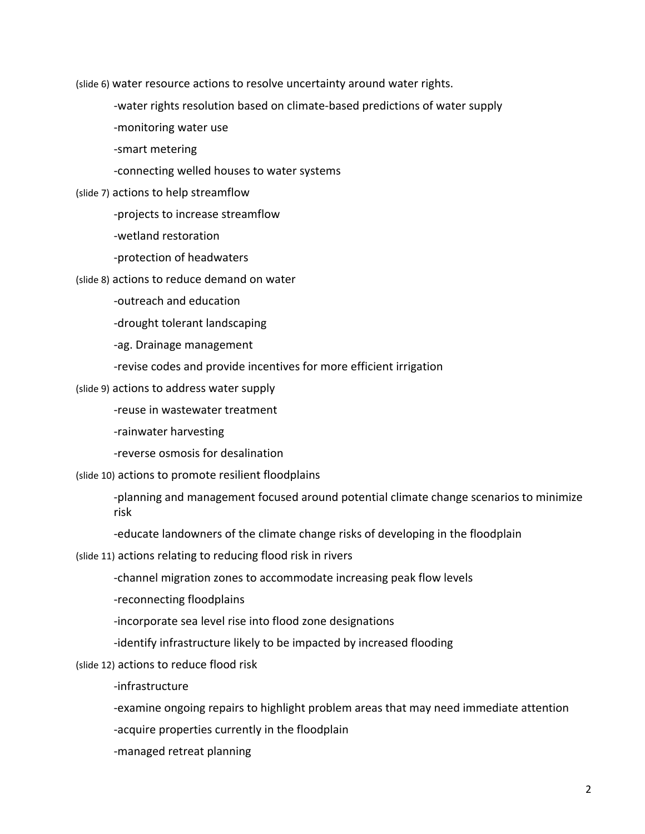(slide 6) water resource actions to resolve uncertainty around water rights.

- -water rights resolution based on climate-based predictions of water supply
- -monitoring water use
- -smart metering
- -connecting welled houses to water systems
- (slide 7) actions to help streamflow
	- -projects to increase streamflow
	- -wetland restoration
	- -protection of headwaters
- (slide 8) actions to reduce demand on water
	- -outreach and education
	- -drought tolerant landscaping
	- -ag. Drainage management
	- -revise codes and provide incentives for more efficient irrigation
- (slide 9) actions to address water supply
	- -reuse in wastewater treatment
	- -rainwater harvesting
	- -reverse osmosis for desalination
- (slide 10) actions to promote resilient floodplains
	- -planning and management focused around potential climate change scenarios to minimize risk
	- -educate landowners of the climate change risks of developing in the floodplain
- (slide 11) actions relating to reducing flood risk in rivers
	- -channel migration zones to accommodate increasing peak flow levels
	- -reconnecting floodplains
	- -incorporate sea level rise into flood zone designations
	- -identify infrastructure likely to be impacted by increased flooding
- (slide 12) actions to reduce flood risk
	- -infrastructure
	- -examine ongoing repairs to highlight problem areas that may need immediate attention
	- -acquire properties currently in the floodplain
	- -managed retreat planning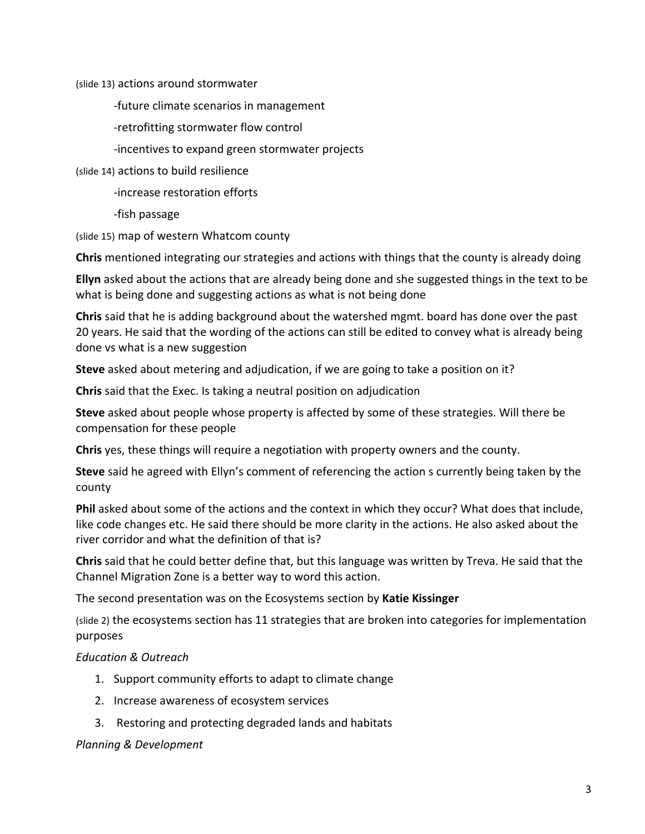(slide 13) actions around stormwater

-future climate scenarios in management

- -retrofitting stormwater flow control
- -incentives to expand green stormwater projects

(slide 14) actions to build resilience

-increase restoration efforts

-fish passage

(slide 15) map of western Whatcom county

**Chris** mentioned integrating our strategies and actions with things that the county is already doing

**Ellyn** asked about the actions that are already being done and she suggested things in the text to be what is being done and suggesting actions as what is not being done

**Chris** said that he is adding background about the watershed mgmt. board has done over the past 20 years. He said that the wording of the actions can still be edited to convey what is already being done vs what is a new suggestion

**Steve** asked about metering and adjudication, if we are going to take a position on it?

**Chris** said that the Exec. Is taking a neutral position on adjudication

**Steve** asked about people whose property is affected by some of these strategies. Will there be compensation for these people

**Chris** yes, these things will require a negotiation with property owners and the county.

**Steve** said he agreed with Ellyn's comment of referencing the action s currently being taken by the county

**Phil** asked about some of the actions and the context in which they occur? What does that include, like code changes etc. He said there should be more clarity in the actions. He also asked about the river corridor and what the definition of that is?

**Chris** said that he could better define that, but this language was written by Treva. He said that the Channel Migration Zone is a better way to word this action.

The second presentation was on the Ecosystems section by **Katie Kissinger**

(slide 2) the ecosystems section has 11 strategies that are broken into categories for implementation purposes

#### *Education & Outreach*

- 1. Support community efforts to adapt to climate change
- 2. Increase awareness of ecosystem services
- 3. Restoring and protecting degraded lands and habitats

#### *Planning & Development*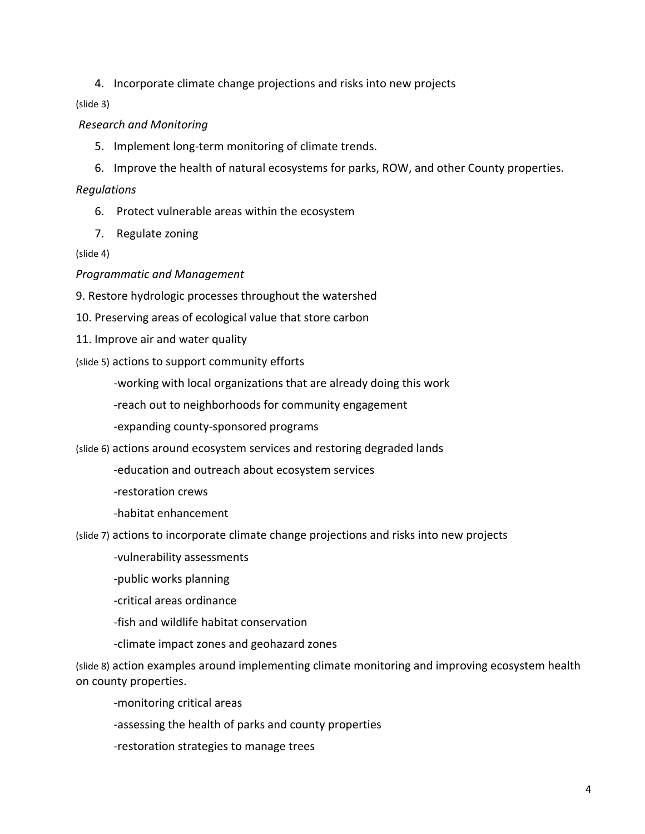4. Incorporate climate change projections and risks into new projects

(slide 3)

#### *Research and Monitoring*

- 5. Implement long-term monitoring of climate trends.
- 6. Improve the health of natural ecosystems for parks, ROW, and other County properties.

#### *Regulations*

- 6. Protect vulnerable areas within the ecosystem
- 7. Regulate zoning

#### (slide 4)

#### *Programmatic and Management*

9. Restore hydrologic processes throughout the watershed

- 10. Preserving areas of ecological value that store carbon
- 11. Improve air and water quality

### (slide 5) actions to support community efforts

-working with local organizations that are already doing this work

- -reach out to neighborhoods for community engagement
- -expanding county-sponsored programs
- (slide 6) actions around ecosystem services and restoring degraded lands
	- -education and outreach about ecosystem services
	- -restoration crews
	- -habitat enhancement

(slide 7) actions to incorporate climate change projections and risks into new projects

-vulnerability assessments

- -public works planning
- -critical areas ordinance
- -fish and wildlife habitat conservation
- -climate impact zones and geohazard zones

(slide 8) action examples around implementing climate monitoring and improving ecosystem health on county properties.

-monitoring critical areas

-assessing the health of parks and county properties

-restoration strategies to manage trees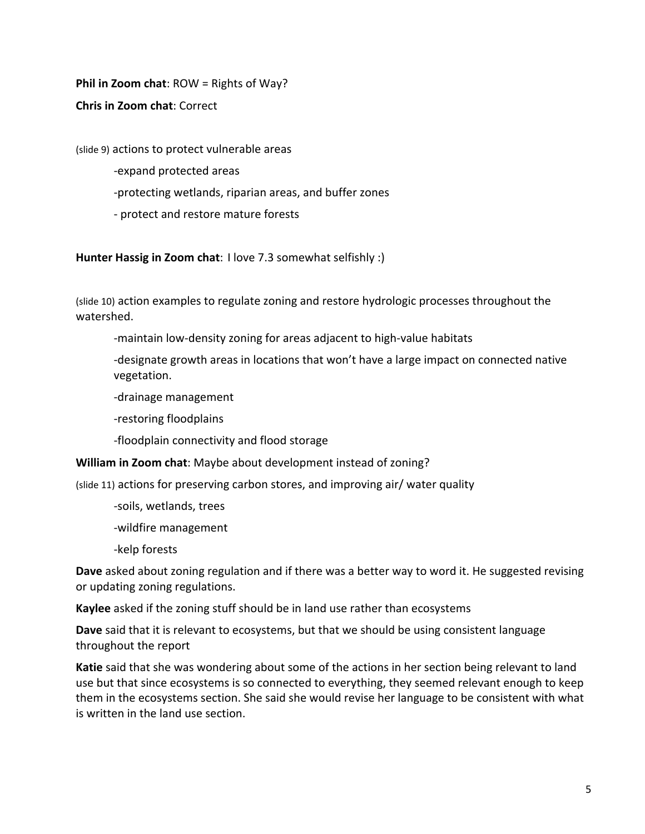**Phil in Zoom chat**: ROW = Rights of Way?

**Chris in Zoom chat**: Correct

(slide 9) actions to protect vulnerable areas

-expand protected areas

- -protecting wetlands, riparian areas, and buffer zones
- protect and restore mature forests

**Hunter Hassig in Zoom chat**: I love 7.3 somewhat selfishly :)

(slide 10) action examples to regulate zoning and restore hydrologic processes throughout the watershed.

-maintain low-density zoning for areas adjacent to high-value habitats

-designate growth areas in locations that won't have a large impact on connected native vegetation.

-drainage management

-restoring floodplains

-floodplain connectivity and flood storage

**William in Zoom chat**: Maybe about development instead of zoning?

(slide 11) actions for preserving carbon stores, and improving air/ water quality

-soils, wetlands, trees

-wildfire management

-kelp forests

**Dave** asked about zoning regulation and if there was a better way to word it. He suggested revising or updating zoning regulations.

**Kaylee** asked if the zoning stuff should be in land use rather than ecosystems

**Dave** said that it is relevant to ecosystems, but that we should be using consistent language throughout the report

**Katie** said that she was wondering about some of the actions in her section being relevant to land use but that since ecosystems is so connected to everything, they seemed relevant enough to keep them in the ecosystems section. She said she would revise her language to be consistent with what is written in the land use section.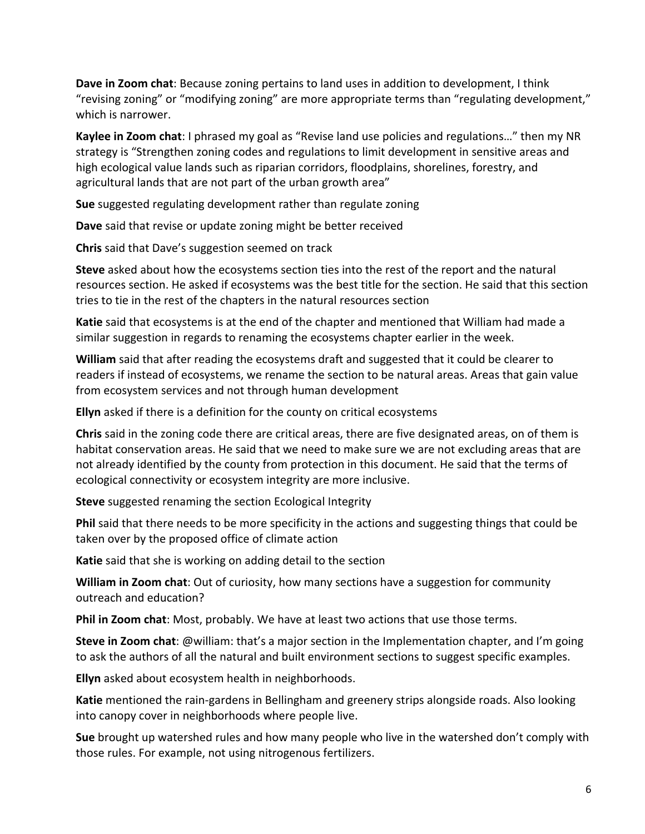**Dave in Zoom chat**: Because zoning pertains to land uses in addition to development, I think "revising zoning" or "modifying zoning" are more appropriate terms than "regulating development," which is narrower.

**Kaylee in Zoom chat**: I phrased my goal as "Revise land use policies and regulations…" then my NR strategy is "Strengthen zoning codes and regulations to limit development in sensitive areas and high ecological value lands such as riparian corridors, floodplains, shorelines, forestry, and agricultural lands that are not part of the urban growth area"

**Sue** suggested regulating development rather than regulate zoning

**Dave** said that revise or update zoning might be better received

**Chris** said that Dave's suggestion seemed on track

**Steve** asked about how the ecosystems section ties into the rest of the report and the natural resources section. He asked if ecosystems was the best title for the section. He said that this section tries to tie in the rest of the chapters in the natural resources section

**Katie** said that ecosystems is at the end of the chapter and mentioned that William had made a similar suggestion in regards to renaming the ecosystems chapter earlier in the week.

**William** said that after reading the ecosystems draft and suggested that it could be clearer to readers if instead of ecosystems, we rename the section to be natural areas. Areas that gain value from ecosystem services and not through human development

**Ellyn** asked if there is a definition for the county on critical ecosystems

**Chris** said in the zoning code there are critical areas, there are five designated areas, on of them is habitat conservation areas. He said that we need to make sure we are not excluding areas that are not already identified by the county from protection in this document. He said that the terms of ecological connectivity or ecosystem integrity are more inclusive.

**Steve** suggested renaming the section Ecological Integrity

**Phil** said that there needs to be more specificity in the actions and suggesting things that could be taken over by the proposed office of climate action

**Katie** said that she is working on adding detail to the section

**William in Zoom chat**: Out of curiosity, how many sections have a suggestion for community outreach and education?

**Phil in Zoom chat**: Most, probably. We have at least two actions that use those terms.

**Steve in Zoom chat**: @william: that's a major section in the Implementation chapter, and I'm going to ask the authors of all the natural and built environment sections to suggest specific examples.

**Ellyn** asked about ecosystem health in neighborhoods.

**Katie** mentioned the rain-gardens in Bellingham and greenery strips alongside roads. Also looking into canopy cover in neighborhoods where people live.

**Sue** brought up watershed rules and how many people who live in the watershed don't comply with those rules. For example, not using nitrogenous fertilizers.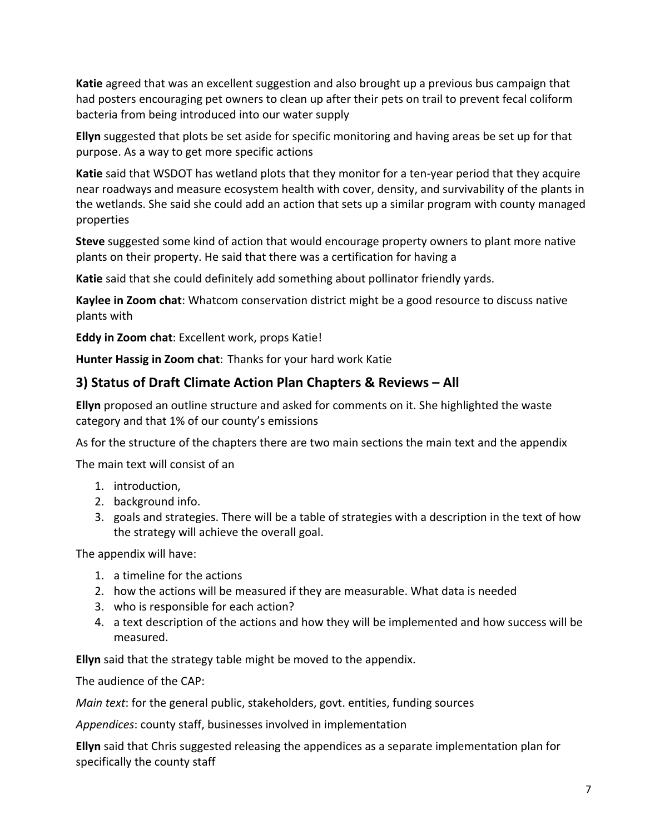**Katie** agreed that was an excellent suggestion and also brought up a previous bus campaign that had posters encouraging pet owners to clean up after their pets on trail to prevent fecal coliform bacteria from being introduced into our water supply

**Ellyn** suggested that plots be set aside for specific monitoring and having areas be set up for that purpose. As a way to get more specific actions

**Katie** said that WSDOT has wetland plots that they monitor for a ten-year period that they acquire near roadways and measure ecosystem health with cover, density, and survivability of the plants in the wetlands. She said she could add an action that sets up a similar program with county managed properties

**Steve** suggested some kind of action that would encourage property owners to plant more native plants on their property. He said that there was a certification for having a

**Katie** said that she could definitely add something about pollinator friendly yards.

**Kaylee in Zoom chat**: Whatcom conservation district might be a good resource to discuss native plants with

**Eddy in Zoom chat**: Excellent work, props Katie!

**Hunter Hassig in Zoom chat**: Thanks for your hard work Katie

## **3) Status of Draft Climate Action Plan Chapters & Reviews – All**

**Ellyn** proposed an outline structure and asked for comments on it. She highlighted the waste category and that 1% of our county's emissions

As for the structure of the chapters there are two main sections the main text and the appendix

The main text will consist of an

- 1. introduction,
- 2. background info.
- 3. goals and strategies. There will be a table of strategies with a description in the text of how the strategy will achieve the overall goal.

The appendix will have:

- 1. a timeline for the actions
- 2. how the actions will be measured if they are measurable. What data is needed
- 3. who is responsible for each action?
- 4. a text description of the actions and how they will be implemented and how success will be measured.

**Ellyn** said that the strategy table might be moved to the appendix.

The audience of the CAP:

*Main text*: for the general public, stakeholders, govt. entities, funding sources

*Appendices*: county staff, businesses involved in implementation

**Ellyn** said that Chris suggested releasing the appendices as a separate implementation plan for specifically the county staff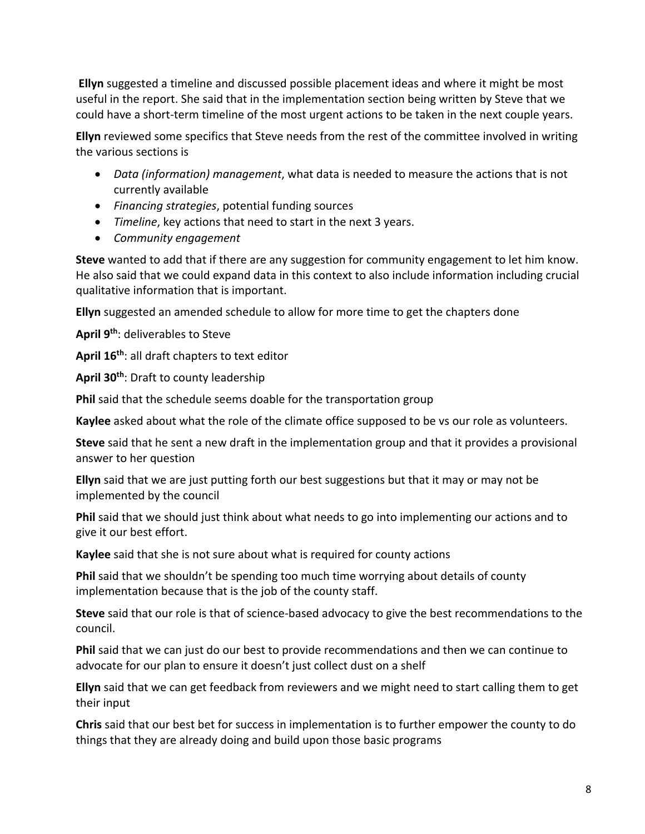**Ellyn** suggested a timeline and discussed possible placement ideas and where it might be most useful in the report. She said that in the implementation section being written by Steve that we could have a short-term timeline of the most urgent actions to be taken in the next couple years.

**Ellyn** reviewed some specifics that Steve needs from the rest of the committee involved in writing the various sections is

- *Data (information) management*, what data is needed to measure the actions that is not currently available
- *Financing strategies*, potential funding sources
- *Timeline*, key actions that need to start in the next 3 years.
- *Community engagement*

**Steve** wanted to add that if there are any suggestion for community engagement to let him know. He also said that we could expand data in this context to also include information including crucial qualitative information that is important.

**Ellyn** suggested an amended schedule to allow for more time to get the chapters done

**April 9th**: deliverables to Steve

**April 16th**: all draft chapters to text editor

**April 30th**: Draft to county leadership

**Phil** said that the schedule seems doable for the transportation group

**Kaylee** asked about what the role of the climate office supposed to be vs our role as volunteers.

**Steve** said that he sent a new draft in the implementation group and that it provides a provisional answer to her question

**Ellyn** said that we are just putting forth our best suggestions but that it may or may not be implemented by the council

**Phil** said that we should just think about what needs to go into implementing our actions and to give it our best effort.

**Kaylee** said that she is not sure about what is required for county actions

**Phil** said that we shouldn't be spending too much time worrying about details of county implementation because that is the job of the county staff.

**Steve** said that our role is that of science-based advocacy to give the best recommendations to the council.

**Phil** said that we can just do our best to provide recommendations and then we can continue to advocate for our plan to ensure it doesn't just collect dust on a shelf

**Ellyn** said that we can get feedback from reviewers and we might need to start calling them to get their input

**Chris** said that our best bet for success in implementation is to further empower the county to do things that they are already doing and build upon those basic programs